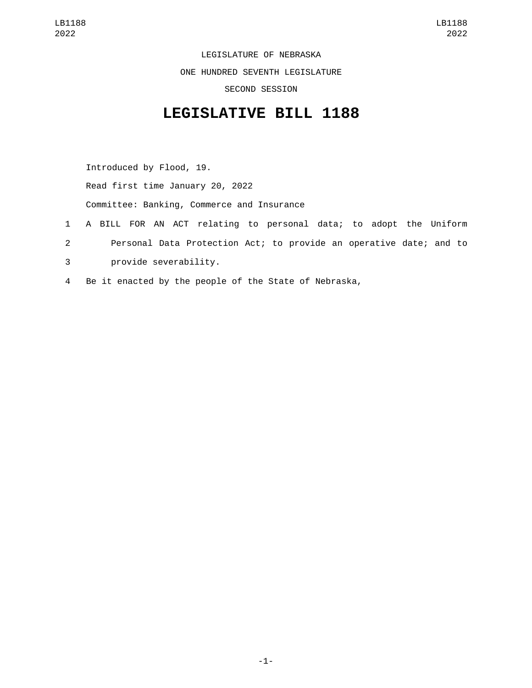LEGISLATURE OF NEBRASKA ONE HUNDRED SEVENTH LEGISLATURE SECOND SESSION

## **LEGISLATIVE BILL 1188**

Introduced by Flood, 19. Read first time January 20, 2022 Committee: Banking, Commerce and Insurance 1 A BILL FOR AN ACT relating to personal data; to adopt the Uniform 2 Personal Data Protection Act; to provide an operative date; and to

- provide severability.3
- 4 Be it enacted by the people of the State of Nebraska,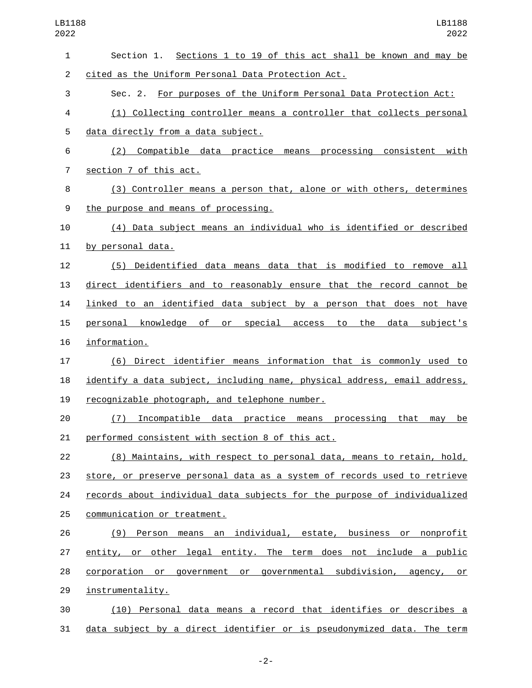| $\mathbf{1}$   | Section 1. Sections 1 to 19 of this act shall be known and may be              |
|----------------|--------------------------------------------------------------------------------|
| $\overline{2}$ | cited as the Uniform Personal Data Protection Act.                             |
| 3              | Sec. 2. For purposes of the Uniform Personal Data Protection Act:              |
| 4              | (1) Collecting controller means a controller that collects personal            |
| 5              | data directly from a data subject.                                             |
| 6              | (2) Compatible data practice means processing consistent with                  |
| 7              | section 7 of this act.                                                         |
| 8              | (3) Controller means a person that, alone or with others, determines           |
| 9              | the purpose and means of processing.                                           |
| 10             | (4) Data subject means an individual who is identified or described            |
| 11             | by personal data.                                                              |
| 12             | (5) Deidentified data means data that is modified to remove all                |
| 13             | direct identifiers and to reasonably ensure that the record cannot be          |
| 14             | linked to an identified data subject by a person that does not have            |
| 15             | personal knowledge of or special access to the<br>data subject's               |
| 16             | information.                                                                   |
| 17             | (6) Direct identifier means information that is commonly used to               |
| 18             | identify a data subject, including name, physical address, email address,      |
| 19             | recognizable photograph, and telephone number.                                 |
| 20             | Incompatible data practice means processing<br>that<br>(7)<br>mav<br><u>be</u> |
| 21             | performed consistent with section 8 of this act.                               |
| 22             | (8) Maintains, with respect to personal data, means to retain, hold,           |
| 23             | store, or preserve personal data as a system of records used to retrieve       |
| 24             | records about individual data subjects for the purpose of individualized       |
| 25             | communication or treatment.                                                    |
| 26             | (9) Person means an individual, estate, business or nonprofit                  |
| 27             | entity, or other legal entity. The term does not include a public              |
| 28             | corporation or government or governmental subdivision, agency, or              |
| 29             | instrumentality.                                                               |
| 30             | (10) Personal data means a record that identifies or describes a               |
| 31             | data subject by a direct identifier or is pseudonymized data. The term         |

-2-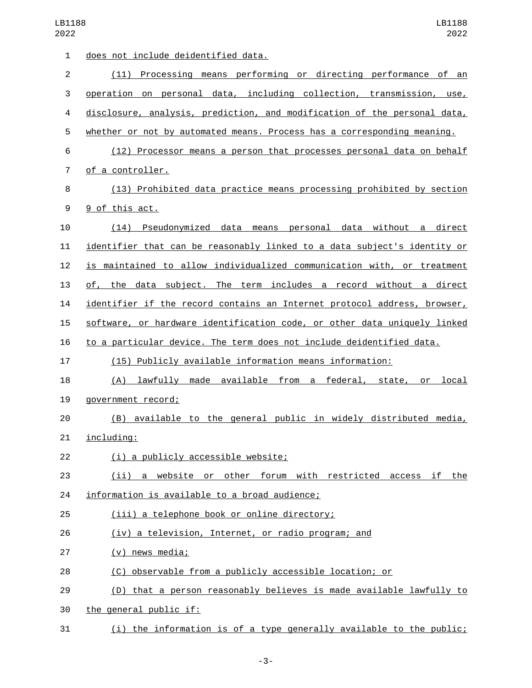| 1  | <u>does not include deidentified data.</u>                               |
|----|--------------------------------------------------------------------------|
| 2  | (11) Processing means performing or directing performance of an          |
| 3  | operation on personal data, including collection, transmission, use,     |
| 4  | disclosure, analysis, prediction, and modification of the personal data, |
| 5  | whether or not by automated means. Process has a corresponding meaning.  |
| 6  | (12) Processor means a person that processes personal data on behalf     |
| 7  | of a controller.                                                         |
| 8  | (13) Prohibited data practice means processing prohibited by section     |
| 9  | 9 of this act.                                                           |
| 10 | (14) Pseudonymized data means personal data without a direct             |
| 11 | identifier that can be reasonably linked to a data subject's identity or |
| 12 | is maintained to allow individualized communication with, or treatment   |
| 13 | of, the data subject. The term includes a record without a direct        |
| 14 | identifier if the record contains an Internet protocol address, browser, |
| 15 | software, or hardware identification code, or other data uniquely linked |
| 16 | to a particular device. The term does not include deidentified data.     |
| 17 | (15) Publicly available information means information:                   |
| 18 | lawfully made available from a federal, state,<br>(A)<br>local<br>or     |
| 19 | government record;                                                       |
| 20 | (B) available to the general public in widely distributed media,         |
| 21 | including:                                                               |
| 22 | (i) a publicly accessible website;                                       |
| 23 | (ii) a website or other forum with restricted access if the              |
| 24 | information is available to a broad audience;                            |
| 25 | (iii) a telephone book or online directory;                              |
| 26 | (iv) a television, Internet, or radio program; and                       |
| 27 | $(v)$ news media;                                                        |
| 28 | (C) observable from a publicly accessible location; or                   |
| 29 | (D) that a person reasonably believes is made available lawfully to      |
| 30 | the general public if:                                                   |
| 31 | (i) the information is of a type generally available to the public;      |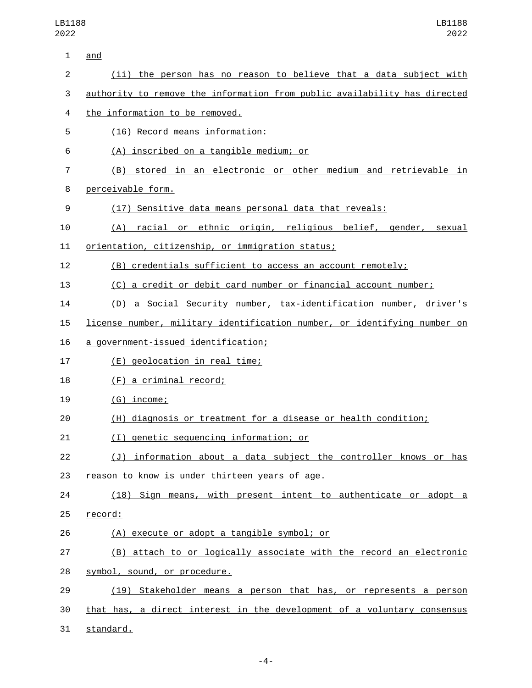| 1              | and                                                                       |
|----------------|---------------------------------------------------------------------------|
| $\overline{c}$ | (ii) the person has no reason to believe that a data subject with         |
| 3              | authority to remove the information from public availability has directed |
| 4              | the information to be removed.                                            |
| 5              | (16) Record means information:                                            |
| 6              | (A) inscribed on a tangible medium; or                                    |
| $\overline{7}$ | (B) stored in an electronic or other medium and retrievable in            |
| 8              | perceivable form.                                                         |
| 9              | (17) Sensitive data means personal data that reveals:                     |
| 10             | (A) racial or ethnic origin, religious belief, gender, sexual             |
| 11             | orientation, citizenship, or immigration status;                          |
| 12             | (B) credentials sufficient to access an account remotely;                 |
| 13             | (C) a credit or debit card number or financial account number;            |
| 14             | (D) a Social Security number, tax-identification number, driver's         |
| 15             | license number, military identification number, or identifying number on  |
| 16             | a government-issued identification;                                       |
| 17             | (E) geolocation in real time;                                             |
| 18             | (F) a criminal record;                                                    |
| 19             | $(G)$ income;                                                             |
| 20             | (H) diagnosis or treatment for a disease or health condition;             |
| 21             | (I) genetic sequencing information; or                                    |
| 22             | (J) information about a data subject the controller knows or has          |
| 23             | reason to know is under thirteen years of age.                            |
| 24             | (18) Sign means, with present intent to authenticate or adopt a           |
| 25             | record:                                                                   |
| 26             | (A) execute or adopt a tangible symbol; or                                |
| 27             | (B) attach to or logically associate with the record an electronic        |
| 28             | symbol, sound, or procedure.                                              |
| 29             | (19) Stakeholder means a person that has, or represents a person          |
| 30             | that has, a direct interest in the development of a voluntary consensus   |
|                |                                                                           |

31 standard.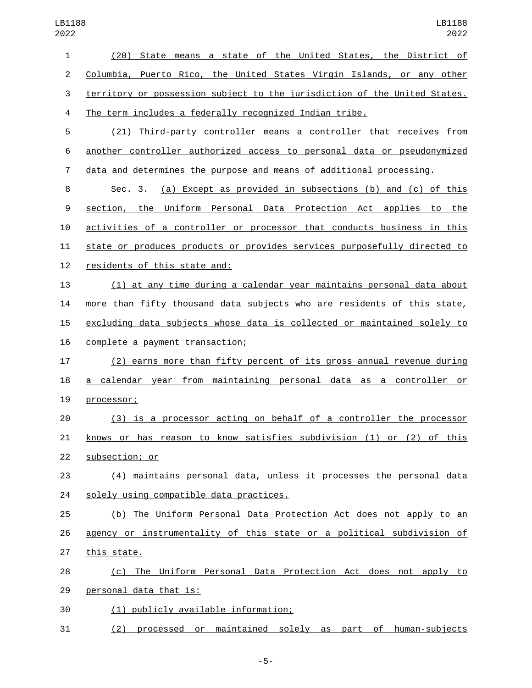| $\mathbf{1}$   | (20) State means a state of the United States, the District of            |
|----------------|---------------------------------------------------------------------------|
| $\overline{2}$ | Columbia, Puerto Rico, the United States Virgin Islands, or any other     |
| 3              | territory or possession subject to the jurisdiction of the United States. |
| $\overline{4}$ | The term includes a federally recognized Indian tribe.                    |
| 5              | (21) Third-party controller means a controller that receives from         |
| 6              | another controller authorized access to personal data or pseudonymized    |
| $\overline{7}$ | data and determines the purpose and means of additional processing.       |
| 8              | (a) Except as provided in subsections (b) and (c) of this<br>Sec. 3.      |
| 9              | section, the Uniform Personal Data Protection Act applies to the          |
| 10             | activities of a controller or processor that conducts business in this    |
| 11             | state or produces products or provides services purposefully directed to  |
| 12             | residents of this state and:                                              |
| 13             | (1) at any time during a calendar year maintains personal data about      |
| 14             | more than fifty thousand data subjects who are residents of this state,   |
| 15             | excluding data subjects whose data is collected or maintained solely to   |
| 16             | complete a payment transaction;                                           |
| 17             | (2) earns more than fifty percent of its gross annual revenue during      |
| 18             | a calendar year from maintaining personal data as a controller or         |
| 19             | processor;                                                                |
| 20             | (3) is a processor acting on behalf of a controller the processor         |
| 21             | knows or has reason to know satisfies subdivision (1) or (2) of this      |
| 22             | subsection; or                                                            |
| 23             | (4) maintains personal data, unless it processes the personal data        |
| 24             | solely using compatible data practices.                                   |
| 25             | (b) The Uniform Personal Data Protection Act does not apply to an         |
| 26             | agency or instrumentality of this state or a political subdivision of     |
| 27             | this state.                                                               |
| 28             | (c) The Uniform Personal Data Protection Act does not apply to            |
| 29             | personal data that is:                                                    |
| 30             | (1) publicly available information;                                       |
| 31             | (2) processed or maintained solely as part of human-subjects              |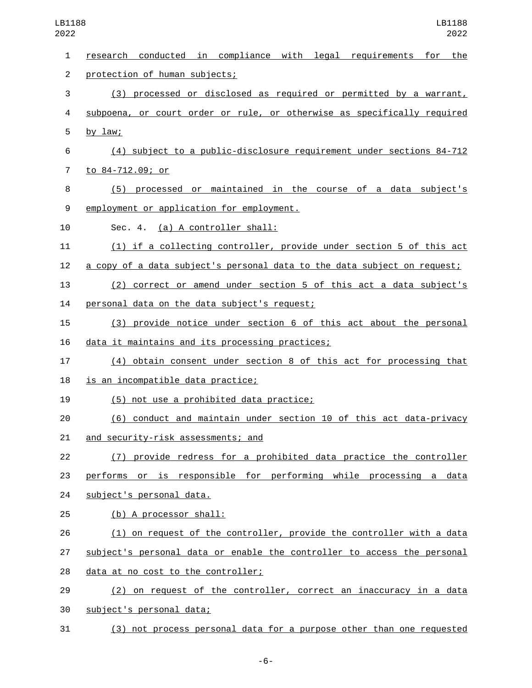| $\mathbf{1}$   | conducted in compliance with legal requirements for the<br>research      |
|----------------|--------------------------------------------------------------------------|
| $\overline{2}$ | protection of human subjects;                                            |
| 3              | (3) processed or disclosed as required or permitted by a warrant,        |
| 4              | subpoena, or court order or rule, or otherwise as specifically required  |
| 5              | by $law$ ;                                                               |
| 6              | (4) subject to a public-disclosure requirement under sections 84-712     |
| 7              | to 84-712.09; or                                                         |
| 8              | (5) processed or maintained in the course of a data subject's            |
| 9              | employment or application for employment.                                |
| 10             | Sec. 4. (a) A controller shall:                                          |
| 11             | (1) if a collecting controller, provide under section 5 of this act      |
| 12             | a copy of a data subject's personal data to the data subject on request; |
| 13             | (2) correct or amend under section 5 of this act a data subject's        |
| 14             | personal data on the data subject's request;                             |
| 15             | (3) provide notice under section 6 of this act about the personal        |
| 16             | data it maintains and its processing practices;                          |
| 17             | (4) obtain consent under section 8 of this act for processing that       |
| 18             | is an incompatible data practice;                                        |
| 19             | (5) not use a prohibited data practice;                                  |
| 20             | (6) conduct and maintain under section 10 of this act data-privacy       |
| 21             | and security-risk assessments; and                                       |
| 22             | (7) provide redress for a prohibited data practice the controller        |
| 23             | performs or is responsible for performing while processing a data        |
| 24             | subject's personal data.                                                 |
| 25             | (b) A processor shall:                                                   |
| 26             | (1) on request of the controller, provide the controller with a data     |
| 27             | subject's personal data or enable the controller to access the personal  |
| 28             | data at no cost to the controller;                                       |
| 29             | (2) on request of the controller, correct an inaccuracy in a data        |
| 30             | subject's personal data;                                                 |
| 31             | (3) not process personal data for a purpose other than one requested     |

-6-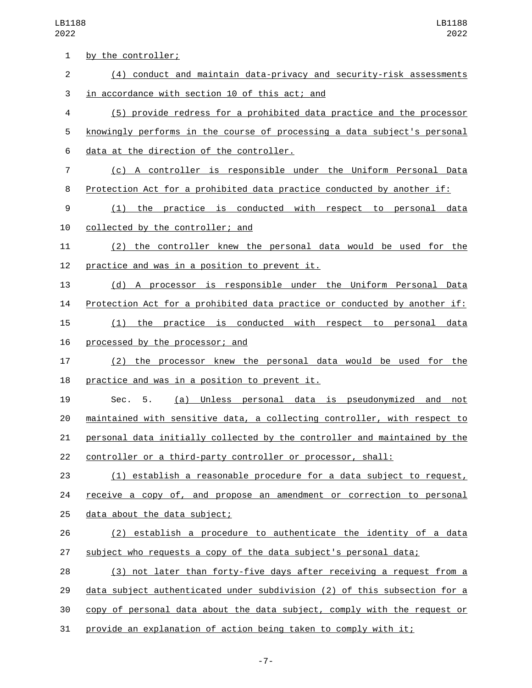| 1  | by the controller;                                                           |
|----|------------------------------------------------------------------------------|
| 2  | (4) conduct and maintain data-privacy and security-risk assessments          |
| 3  | in accordance with section 10 of this act; and                               |
| 4  | (5) provide redress for a prohibited data practice and the processor         |
| 5  | knowingly performs in the course of processing a data subject's personal     |
| 6  | data at the direction of the controller.                                     |
| 7  | (c) A controller is responsible under the Uniform Personal Data              |
| 8  | Protection Act for a prohibited data practice conducted by another if:       |
| 9  | (1) the practice is conducted with respect to personal data                  |
| 10 | collected by the controller; and                                             |
| 11 | (2) the controller knew the personal data would be used for the              |
| 12 | practice and was in a position to prevent it.                                |
| 13 | (d) A processor is responsible under the Uniform Personal Data               |
| 14 | Protection Act for a prohibited data practice or conducted by another if:    |
| 15 | practice is conducted with respect to personal data<br>(1)<br>the            |
| 16 | processed by the processor; and                                              |
| 17 | (2) the processor knew the personal data would be used for the               |
| 18 | practice and was in a position to prevent it.                                |
| 19 | Sec.<br>5.<br><u>(a) Unless personal data is pseudonymized</u><br>and<br>not |
| 20 | maintained with sensitive data, a collecting controller, with respect to     |
| 21 | personal data initially collected by the controller and maintained by the    |
| 22 | controller or a third-party controller or processor, shall:                  |
| 23 | (1) establish a reasonable procedure for a data subject to request,          |
| 24 | receive a copy of, and propose an amendment or correction to personal        |
| 25 | data about the data subject;                                                 |
| 26 | (2) establish a procedure to authenticate the identity of a data             |
| 27 | subject who requests a copy of the data subject's personal data;             |
| 28 | (3) not later than forty-five days after receiving a request from a          |
| 29 | data subject authenticated under subdivision (2) of this subsection for a    |
| 30 | copy of personal data about the data subject, comply with the request or     |
| 31 | provide an explanation of action being taken to comply with it;              |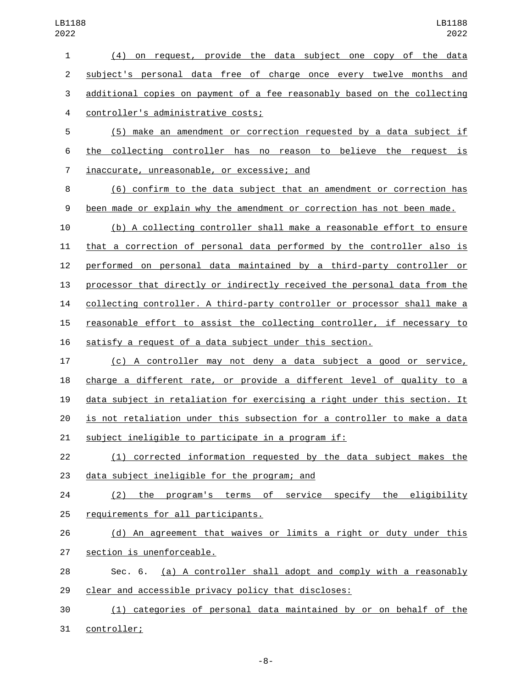(4) on request, provide the data subject one copy of the data subject's personal data free of charge once every twelve months and additional copies on payment of a fee reasonably based on the collecting controller's administrative costs;4

 (5) make an amendment or correction requested by a data subject if the collecting controller has no reason to believe the request is 7 inaccurate, unreasonable, or excessive; and

 (6) confirm to the data subject that an amendment or correction has been made or explain why the amendment or correction has not been made.

 (b) A collecting controller shall make a reasonable effort to ensure that a correction of personal data performed by the controller also is performed on personal data maintained by a third-party controller or processor that directly or indirectly received the personal data from the collecting controller. A third-party controller or processor shall make a reasonable effort to assist the collecting controller, if necessary to satisfy a request of a data subject under this section.

 (c) A controller may not deny a data subject a good or service, charge a different rate, or provide a different level of quality to a data subject in retaliation for exercising a right under this section. It is not retaliation under this subsection for a controller to make a data subject ineligible to participate in a program if:

 (1) corrected information requested by the data subject makes the 23 data subject ineligible for the program; and

 (2) the program's terms of service specify the eligibility 25 requirements for all participants.

 (d) An agreement that waives or limits a right or duty under this 27 section is unenforceable.

 Sec. 6. (a) A controller shall adopt and comply with a reasonably clear and accessible privacy policy that discloses:

 (1) categories of personal data maintained by or on behalf of the 31 controller;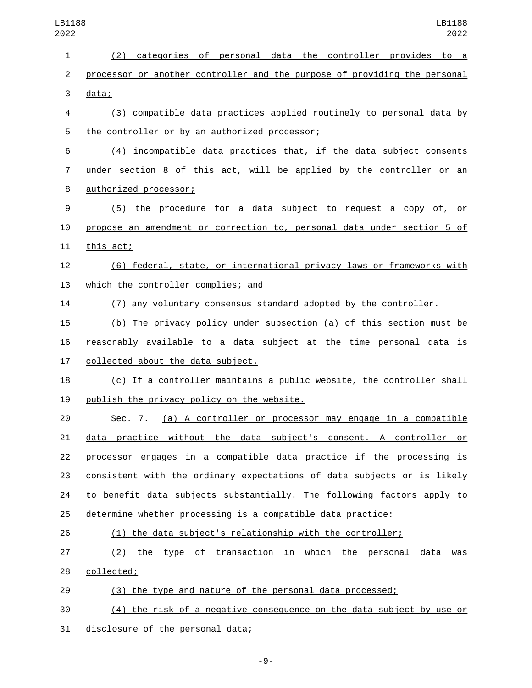| 2022           | 2022                                                                      |
|----------------|---------------------------------------------------------------------------|
| 1              | (2) categories of personal data the controller provides to a              |
| $\overline{c}$ | processor or another controller and the purpose of providing the personal |
| 3              | data;                                                                     |
| 4              | (3) compatible data practices applied routinely to personal data by       |
| 5              | the controller or by an authorized processor;                             |
| 6              | (4) incompatible data practices that, if the data subject consents        |
| 7              | under section 8 of this act, will be applied by the controller or an      |
| 8              | authorized processor;                                                     |
| 9              | (5) the procedure for a data subject to request a copy of, or             |
| 10             | propose an amendment or correction to, personal data under section 5 of   |
| 11             | this act;                                                                 |
| 12             | (6) federal, state, or international privacy laws or frameworks with      |
| 13             | which the controller complies; and                                        |
| 14             | (7) any voluntary consensus standard adopted by the controller.           |
| 15             | (b) The privacy policy under subsection (a) of this section must be       |
| 16             | reasonably available to a data subject at the time personal data is       |
| 17             | collected about the data subject.                                         |
| 18             | (c) If a controller maintains a public website, the controller shall      |
| 19             | publish the privacy policy on the website.                                |
| 20             | Sec. 7. <u>(a) A controller or processor may engage in a compatible</u>   |
| 21             | data practice without the data subject's consent. A controller or         |
| 22             | processor engages in a compatible data practice if the processing is      |
| 23             | consistent with the ordinary expectations of data subjects or is likely   |
| 24             | to benefit data subjects substantially. The following factors apply to    |
| 25             | determine whether processing is a compatible data practice:               |
| 26             | (1) the data subject's relationship with the controller;                  |
| 27             | (2) the type of transaction in which the personal<br>data was             |
| 28             | collected;                                                                |
| 29             | (3) the type and nature of the personal data processed;                   |
| 30             | (4) the risk of a negative consequence on the data subject by use or      |
| 31             | disclosure of the personal data;                                          |

LB1188

LB1188

-9-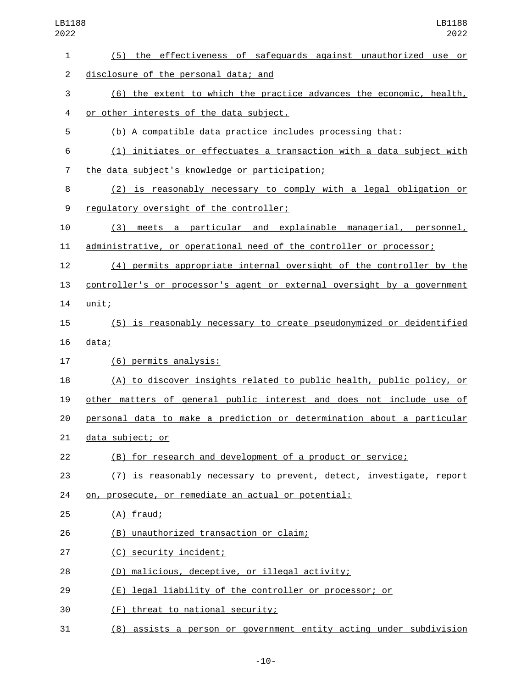| LB1188<br>2022 | LB1188<br>2022                                                          |
|----------------|-------------------------------------------------------------------------|
| 1              | (5) the effectiveness of safeguards against unauthorized use or         |
| $\overline{2}$ | disclosure of the personal data; and                                    |
| 3              | (6) the extent to which the practice advances the economic, health,     |
| 4              | or other interests of the data subject.                                 |
| 5              | (b) A compatible data practice includes processing that:                |
| 6              | (1) initiates or effectuates a transaction with a data subject with     |
| $\overline{7}$ | the data subject's knowledge or participation;                          |
| 8              | (2) is reasonably necessary to comply with a legal obligation or        |
| 9              | regulatory oversight of the controller;                                 |
| 10             | meets a particular and explainable managerial, personnel,<br>(3)        |
| 11             | administrative, or operational need of the controller or processor;     |
| 12             | (4) permits appropriate internal oversight of the controller by the     |
| 13             | controller's or processor's agent or external oversight by a government |
| 14             | unit;                                                                   |
| 15             | (5) is reasonably necessary to create pseudonymized or deidentified     |
| 16             | data;                                                                   |
| 17             | (6) permits analysis:                                                   |
| 18             | (A) to discover insights related to public health, public policy, or    |
| 19             | other matters of general public interest and does not include use of    |
| 20             | personal data to make a prediction or determination about a particular  |
| 21             | data subject; or                                                        |
| 22             | (B) for research and development of a product or service;               |
| 23             | (7) is reasonably necessary to prevent, detect, investigate, report     |
| 24             | on, prosecute, or remediate an actual or potential:                     |
| 25             | $(A)$ fraud;                                                            |
| 26             | (B) unauthorized transaction or claim;                                  |
| 27             | (C) security incident;                                                  |
| 28             | (D) malicious, deceptive, or illegal activity;                          |
| 29             | (E) legal liability of the controller or processor; or                  |
| 30             | (F) threat to national security;                                        |
| 31             | (8) assists a person or government entity acting under subdivision      |

-10-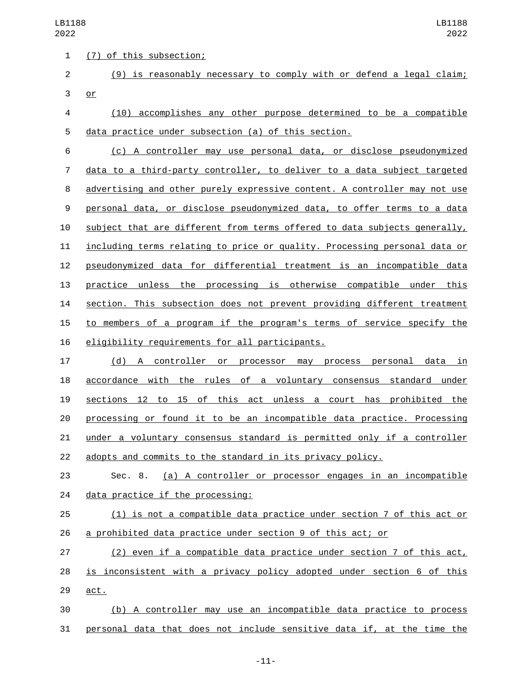3 or

1 (7) of this subsection;

 (10) accomplishes any other purpose determined to be a compatible data practice under subsection (a) of this section.

(9) is reasonably necessary to comply with or defend a legal claim;

 (c) A controller may use personal data, or disclose pseudonymized data to a third-party controller, to deliver to a data subject targeted advertising and other purely expressive content. A controller may not use personal data, or disclose pseudonymized data, to offer terms to a data 10 subject that are different from terms offered to data subjects generally, including terms relating to price or quality. Processing personal data or pseudonymized data for differential treatment is an incompatible data practice unless the processing is otherwise compatible under this section. This subsection does not prevent providing different treatment to members of a program if the program's terms of service specify the 16 eligibility requirements for all participants.

 (d) A controller or processor may process personal data in accordance with the rules of a voluntary consensus standard under sections 12 to 15 of this act unless a court has prohibited the processing or found it to be an incompatible data practice. Processing under a voluntary consensus standard is permitted only if a controller adopts and commits to the standard in its privacy policy.

 Sec. 8. (a) A controller or processor engages in an incompatible 24 data practice if the processing:

 (1) is not a compatible data practice under section 7 of this act or a prohibited data practice under section 9 of this act; or

 (2) even if a compatible data practice under section 7 of this act, is inconsistent with a privacy policy adopted under section 6 of this 29 act.

 (b) A controller may use an incompatible data practice to process personal data that does not include sensitive data if, at the time the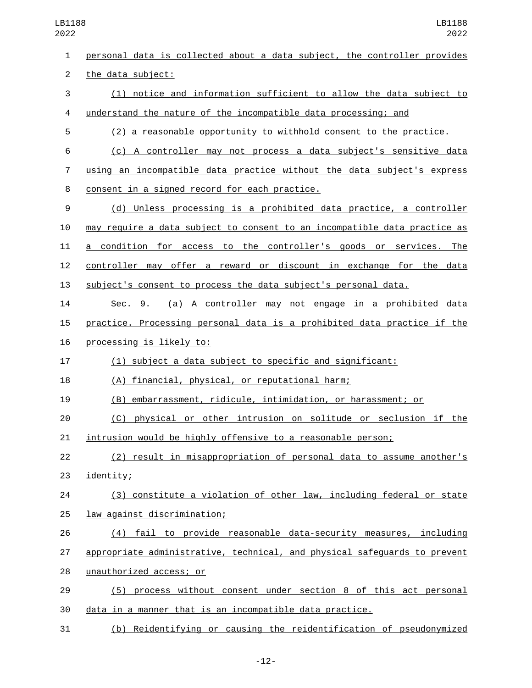| $\mathbf{1}$   | personal data is collected about a data subject, the controller provides  |
|----------------|---------------------------------------------------------------------------|
| $\overline{2}$ | the data subject:                                                         |
| 3              | (1) notice and information sufficient to allow the data subject to        |
| 4              | understand the nature of the incompatible data processing; and            |
| 5              | (2) a reasonable opportunity to withhold consent to the practice.         |
| 6              | (c) A controller may not process a data subject's sensitive data          |
| 7              | using an incompatible data practice without the data subject's express    |
| 8              | consent in a signed record for each practice.                             |
| 9              | (d) Unless processing is a prohibited data practice, a controller         |
| 10             | may require a data subject to consent to an incompatible data practice as |
| 11             | a condition for access to the controller's goods or services. The         |
| 12             | controller may offer a reward or discount in exchange for the data        |
| 13             | subject's consent to process the data subject's personal data.            |
| 14             | (a) A controller may not engage in a prohibited data<br>Sec. 9.           |
| 15             | practice. Processing personal data is a prohibited data practice if the   |
| 16             | processing is likely to:                                                  |
| 17             | (1) subject a data subject to specific and significant:                   |
| 18             | (A) financial, physical, or reputational harm;                            |
| 19             | (B) embarrassment, ridicule, intimidation, or harassment; or              |
| 20             | (C) physical or other intrusion on solitude or seclusion if the           |
| 21             | intrusion would be highly offensive to a reasonable person;               |
| 22             | (2) result in misappropriation of personal data to assume another's       |
| 23             | identity;                                                                 |
| 24             | (3) constitute a violation of other law, including federal or state       |
| 25             | law against discrimination;                                               |
| 26             | (4) fail to provide reasonable data-security measures, including          |
| 27             | appropriate administrative, technical, and physical safeguards to prevent |
| 28             | unauthorized access; or                                                   |
| 29             | (5) process without consent under section 8 of this act personal          |
| 30             | data in a manner that is an incompatible data practice.                   |

(b) Reidentifying or causing the reidentification of pseudonymized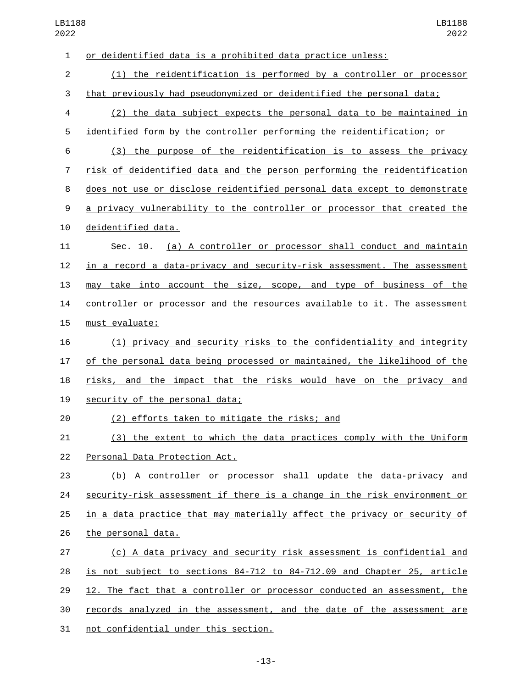| $\mathbf{1}$   | or deidentified data is a prohibited data practice unless:                |
|----------------|---------------------------------------------------------------------------|
| $\overline{2}$ | (1) the reidentification is performed by a controller or processor        |
| 3              | that previously had pseudonymized or deidentified the personal data;      |
| 4              | (2) the data subject expects the personal data to be maintained in        |
| 5              | identified form by the controller performing the reidentification; or     |
| 6              | (3) the purpose of the reidentification is to assess the privacy          |
| 7              | risk of deidentified data and the person performing the reidentification  |
| 8              | does not use or disclose reidentified personal data except to demonstrate |
| 9              | a privacy vulnerability to the controller or processor that created the   |
| 10             | deidentified data.                                                        |
| 11             | (a) A controller or processor shall conduct and maintain<br>Sec. 10.      |
| 12             | in a record a data-privacy and security-risk assessment. The assessment   |
| 13             | may take into account the size, scope, and type of business of the        |
| 14             | controller or processor and the resources available to it. The assessment |
| 15             | must evaluate:                                                            |
| 16             | (1) privacy and security risks to the confidentiality and integrity       |
| 17             | of the personal data being processed or maintained, the likelihood of the |
| 18             | risks, and the impact that the risks would have on the privacy and        |
| 19             | security of the personal data;                                            |
| 20             | (2) efforts taken to mitigate the risks; and                              |
| 21             | (3) the extent to which the data practices comply with the Uniform        |
| 22             | Personal Data Protection Act.                                             |
| 23             | (b) A controller or processor shall update the data-privacy and           |
| 24             | security-risk assessment if there is a change in the risk environment or  |
| 25             | in a data practice that may materially affect the privacy or security of  |
| 26             | the personal data.                                                        |
| 27             | (c) A data privacy and security risk assessment is confidential and       |
| 28             | is not subject to sections 84-712 to 84-712.09 and Chapter 25, article    |
| 29             | 12. The fact that a controller or processor conducted an assessment, the  |
| 30             | records analyzed in the assessment, and the date of the assessment are    |
| 31             | not confidential under this section.                                      |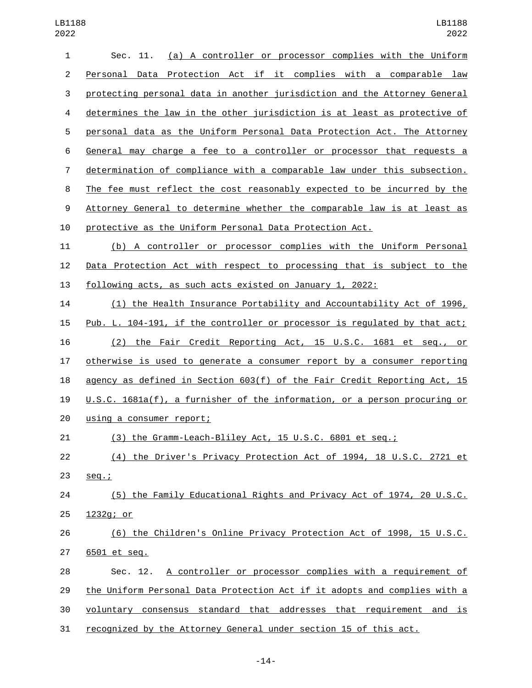| $\mathbf{1}$   | (a) A controller or processor complies with the Uniform<br>Sec. 11.       |
|----------------|---------------------------------------------------------------------------|
| $\overline{c}$ | Personal Data Protection Act if it complies with a comparable law         |
| 3              | protecting personal data in another jurisdiction and the Attorney General |
| 4              | determines the law in the other jurisdiction is at least as protective of |
| 5              | personal data as the Uniform Personal Data Protection Act. The Attorney   |
| 6              | General may charge a fee to a controller or processor that requests a     |
| 7              | determination of compliance with a comparable law under this subsection.  |
| 8              | The fee must reflect the cost reasonably expected to be incurred by the   |
| 9              | Attorney General to determine whether the comparable law is at least as   |
| 10             | protective as the Uniform Personal Data Protection Act.                   |
| 11             | (b) A controller or processor complies with the Uniform Personal          |
| 12             | Data Protection Act with respect to processing that is subject to the     |
| 13             | <u>following acts, as such acts existed on January 1, 2022:</u>           |
| 14             | (1) the Health Insurance Portability and Accountability Act of 1996,      |
| 15             | Pub. L. 104-191, if the controller or processor is regulated by that act; |
| 16             | (2) the Fair Credit Reporting Act, 15 U.S.C. 1681 et seg., or             |
| 17             | otherwise is used to generate a consumer report by a consumer reporting   |
| 18             | agency as defined in Section 603(f) of the Fair Credit Reporting Act, 15  |
| 19             | U.S.C. 1681a(f), a furnisher of the information, or a person procuring or |
| 20             | using a consumer report;                                                  |
| 21             | (3) the Gramm-Leach-Bliley Act, 15 U.S.C. 6801 et seq.;                   |
| 22             | (4) the Driver's Privacy Protection Act of 1994, 18 U.S.C. 2721 et        |
| 23             | $seq.$ ;                                                                  |
| 24             | (5) the Family Educational Rights and Privacy Act of 1974, 20 U.S.C.      |
| 25             | 1232g; or                                                                 |
| 26             | (6) the Children's Online Privacy Protection Act of 1998, 15 U.S.C.       |
| 27             | 6501 et seq.                                                              |
| 28             | A controller or processor complies with a requirement of<br>Sec. 12.      |
| 29             | the Uniform Personal Data Protection Act if it adopts and complies with a |
| 30             | voluntary consensus standard that addresses that requirement and is       |
| 31             | recognized by the Attorney General under section 15 of this act.          |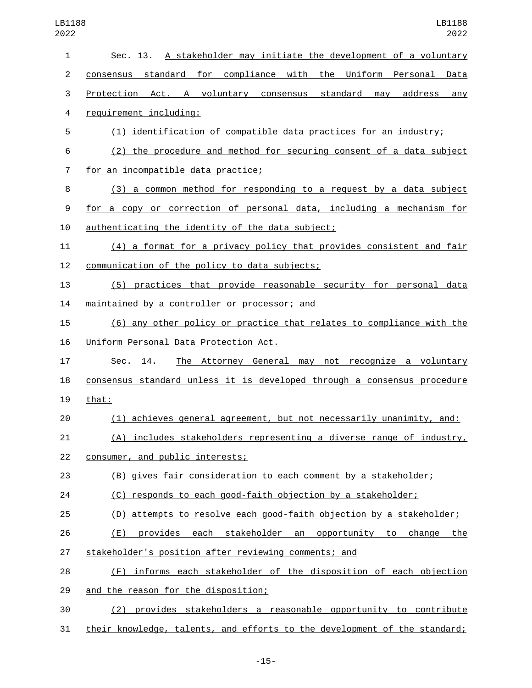| $\mathbf{1}$   | Sec. 13. A stakeholder may initiate the development of a voluntary      |
|----------------|-------------------------------------------------------------------------|
| $\overline{2}$ | consensus standard for compliance with the Uniform Personal<br>Data     |
| 3              | Protection Act. A voluntary consensus standard<br>may address<br>any    |
| 4              | requirement including:                                                  |
| 5              | (1) identification of compatible data practices for an industry;        |
| 6              | (2) the procedure and method for securing consent of a data subject     |
| 7              | for an incompatible data practice;                                      |
| 8              | (3) a common method for responding to a request by a data subject       |
| 9              | for a copy or correction of personal data, including a mechanism for    |
| 10             | authenticating the identity of the data subject;                        |
| 11             | (4) a format for a privacy policy that provides consistent and fair     |
| 12             | communication of the policy to data subjects;                           |
| 13             | (5) practices that provide reasonable security for personal data        |
| 14             | maintained by a controller or processor; and                            |
| 15             | (6) any other policy or practice that relates to compliance with the    |
| 16             | Uniform Personal Data Protection Act.                                   |
| 17             | The Attorney General may not recognize a voluntary<br>14.<br>Sec.       |
| 18             | consensus standard unless it is developed through a consensus procedure |
| 19             | that:                                                                   |
| 20             | (1) achieves general agreement, but not necessarily unanimity, and:     |
| 21             | (A) includes stakeholders representing a diverse range of industry,     |
| 22             | consumer, and public interests;                                         |
| 23             | (B) gives fair consideration to each comment by a stakeholder;          |
| 24             | (C) responds to each good-faith objection by a stakeholder;             |
| 25             | (D) attempts to resolve each good-faith objection by a stakeholder;     |
| 26             | (E) provides each stakeholder an opportunity to change the              |
| 27             | stakeholder's position after reviewing comments; and                    |
| 28             | (F) informs each stakeholder of the disposition of each objection       |
| 29             | and the reason for the disposition;                                     |
| 30             | provides stakeholders a reasonable opportunity to contribute<br>(2)     |

31 their knowledge, talents, and efforts to the development of the standard;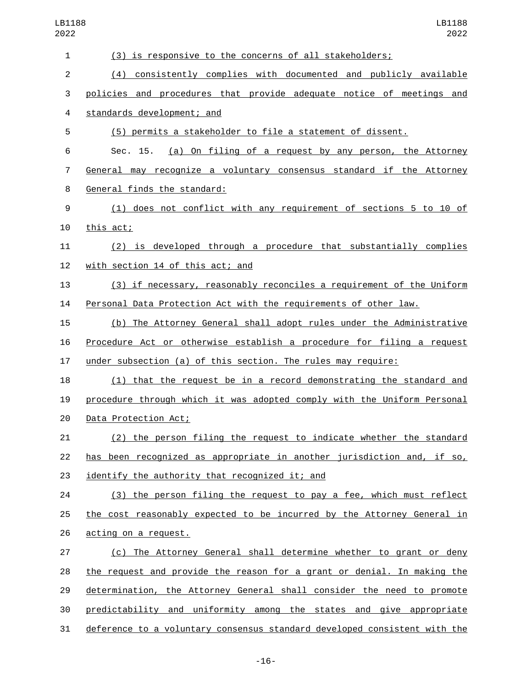| 1              | (3) is responsive to the concerns of all stakeholders;                    |
|----------------|---------------------------------------------------------------------------|
| $\overline{2}$ | (4) consistently complies with documented and publicly available          |
| 3              | policies and procedures that provide adequate notice of meetings and      |
| 4              | standards development; and                                                |
| 5              | (5) permits a stakeholder to file a statement of dissent.                 |
| 6              | (a) On filing of a request by any person, the Attorney<br>Sec. 15.        |
| 7              | General may recognize a voluntary consensus standard if the Attorney      |
| 8              | General finds the standard:                                               |
| 9              | (1) does not conflict with any requirement of sections 5 to 10 of         |
| 10             | this act;                                                                 |
| 11             | (2) is developed through a procedure that substantially complies          |
| 12             | with section 14 of this act; and                                          |
| 13             | (3) if necessary, reasonably reconciles a requirement of the Uniform      |
| 14             | Personal Data Protection Act with the requirements of other law.          |
| 15             | (b) The Attorney General shall adopt rules under the Administrative       |
| 16             | Procedure Act or otherwise establish a procedure for filing a request     |
| 17             | under subsection (a) of this section. The rules may require:              |
| 18             | (1) that the request be in a record demonstrating the standard and        |
| 19             | procedure through which it was adopted comply with the Uniform Personal   |
| 20             | Data Protection Act;                                                      |
| 21             | (2) the person filing the request to indicate whether the standard        |
| 22             | has been recognized as appropriate in another jurisdiction and, if so,    |
| 23             | identify the authority that recognized it; and                            |
| 24             | (3) the person filing the request to pay a fee, which must reflect        |
| 25             | the cost reasonably expected to be incurred by the Attorney General in    |
| 26             | acting on a request.                                                      |
| 27             | (c) The Attorney General shall determine whether to grant or deny         |
| 28             | the request and provide the reason for a grant or denial. In making the   |
| 29             | determination, the Attorney General shall consider the need to promote    |
| 30             | predictability and uniformity among the states and give appropriate       |
| 31             | deference to a voluntary consensus standard developed consistent with the |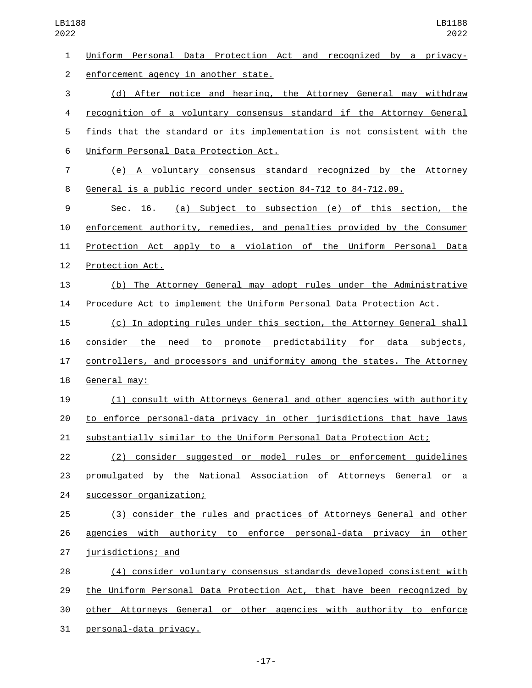| $\mathbf{1}$   | Uniform Personal Data Protection Act and recognized by a privacy-         |
|----------------|---------------------------------------------------------------------------|
| $\overline{2}$ | enforcement agency in another state.                                      |
| 3              | (d) After notice and hearing, the Attorney General may withdraw           |
| 4              | recognition of a voluntary consensus standard if the Attorney General     |
| 5              | finds that the standard or its implementation is not consistent with the  |
| $\,6$          | Uniform Personal Data Protection Act.                                     |
| 7              | (e) A voluntary consensus standard recognized by the Attorney             |
| 8              | General is a public record under section 84-712 to 84-712.09.             |
| 9              | (a) Subject to subsection (e) of this section, the<br>Sec. 16.            |
| 10             | enforcement authority, remedies, and penalties provided by the Consumer   |
| 11             | Protection Act apply to a violation of the Uniform Personal Data          |
| 12             | Protection Act.                                                           |
| 13             | (b) The Attorney General may adopt rules under the Administrative         |
| 14             | Procedure Act to implement the Uniform Personal Data Protection Act.      |
| 15             | (c) In adopting rules under this section, the Attorney General shall      |
| 16             | consider the need to promote predictability for data subjects,            |
| 17             | controllers, and processors and uniformity among the states. The Attorney |
| 18             | General may:                                                              |
| 19             | (1) consult with Attorneys General and other agencies with authority      |
| 20             | to enforce personal-data privacy in other jurisdictions that have laws    |
| 21             | <u>substantially similar to the Uniform Personal Data Protection Act;</u> |
| 22             | (2) consider suggested or model rules or enforcement guidelines           |
| 23             | promulgated by the National Association of Attorneys General or a         |
| 24             | successor organization;                                                   |
| 25             | (3) consider the rules and practices of Attorneys General and other       |
| 26             | agencies with authority to enforce personal-data privacy in other         |
| 27             | jurisdictions; and                                                        |
| 28             | (4) consider voluntary consensus standards developed consistent with      |
| 29             | the Uniform Personal Data Protection Act, that have been recognized by    |
| 30             | other Attorneys General or other agencies with authority to enforce       |
| 31             | personal-data privacy.                                                    |

-17-